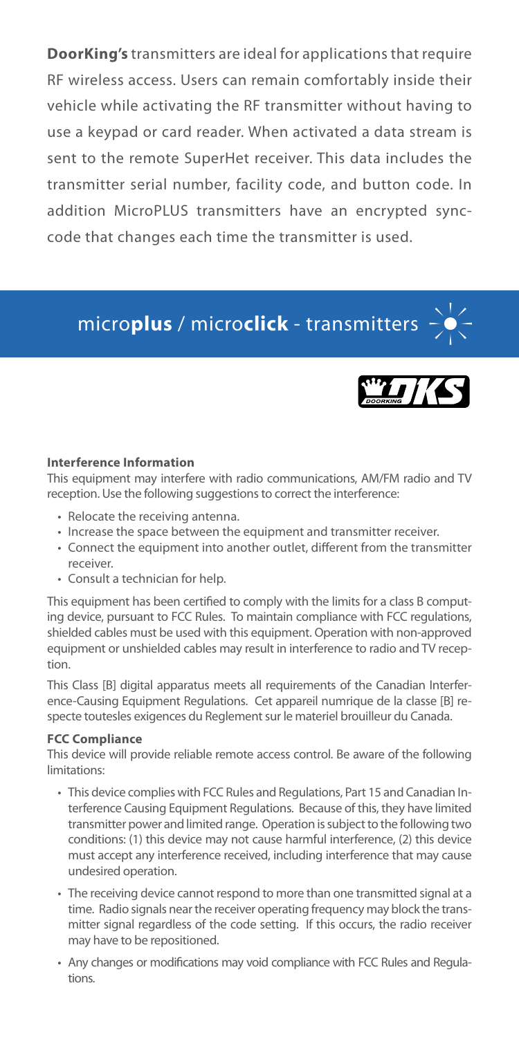**DoorKing's** transmitters are ideal for applications that require RF wireless access. Users can remain comfortably inside their vehicle while activating the RF transmitter without having to use a keypad or card reader. When activated a data stream is sent to the remote SuperHet receiver. This data includes the transmitter serial number, facility code, and button code. In addition MicroPLUS transmitters have an encrypted synccode that changes each time the transmitter is used.

# micro**plus** / micro**click** - transmitters



#### **Interference Information**

This equipment may interfere with radio communications, AM/FM radio and TV reception. Use the following suggestions to correct the interference:

- Relocate the receiving antenna.
- Increase the space between the equipment and transmitter receiver.
- Connect the equipment into another outlet, different from the transmitter receiver.
- Consult a technician for help.

This equipment has been certified to comply with the limits for a class B computing device, pursuant to FCC Rules. To maintain compliance with FCC regulations, shielded cables must be used with this equipment. Operation with non-approved equipment or unshielded cables may result in interference to radio and TV reception.

This Class [B] digital apparatus meets all requirements of the Canadian Interference-Causing Equipment Regulations. Cet appareil numrique de la classe [B] respecte toutesles exigences du Reglement sur le materiel brouilleur du Canada.

#### **FCC Compliance**

This device will provide reliable remote access control. Be aware of the following limitations:

- This device complies with FCC Rules and Regulations, Part 15 and Canadian Interference Causing Equipment Regulations. Because of this, they have limited transmitter power and limited range. Operation is subject to the following two conditions: (1) this device may not cause harmful interference, (2) this device must accept any interference received, including interference that may cause undesired operation.
- The receiving device cannot respond to more than one transmitted signal at a time. Radio signals near the receiver operating frequency may block the transmitter signal regardless of the code setting. If this occurs, the radio receiver may have to be repositioned.
- Any changes or modifications may void compliance with FCC Rules and Regulations.